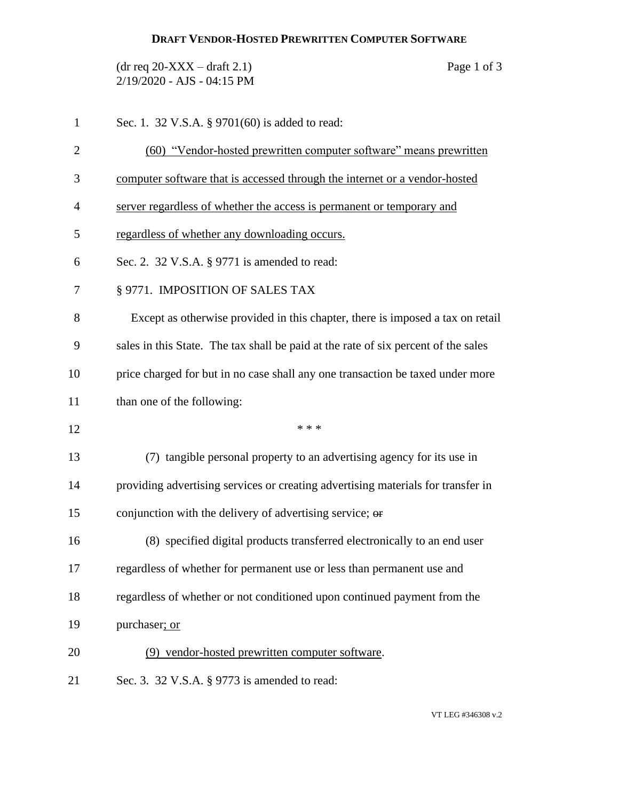## **DRAFT VENDOR-HOSTED PREWRITTEN COMPUTER SOFTWARE**

 $(\text{dr} \text{ req } 20\text{-}XXX - \text{draff } 2.1)$  Page 1 of 3 2/19/2020 - AJS - 04:15 PM

| $\mathbf{1}$   | Sec. 1. 32 V.S.A. § 9701(60) is added to read:                                     |
|----------------|------------------------------------------------------------------------------------|
| $\overline{2}$ | (60) "Vendor-hosted prewritten computer software" means prewritten                 |
| 3              | computer software that is accessed through the internet or a vendor-hosted         |
| $\overline{4}$ | server regardless of whether the access is permanent or temporary and              |
| 5              | regardless of whether any downloading occurs.                                      |
| 6              | Sec. 2. 32 V.S.A. § 9771 is amended to read:                                       |
| 7              | § 9771. IMPOSITION OF SALES TAX                                                    |
| 8              | Except as otherwise provided in this chapter, there is imposed a tax on retail     |
| 9              | sales in this State. The tax shall be paid at the rate of six percent of the sales |
| 10             | price charged for but in no case shall any one transaction be taxed under more     |
| 11             | than one of the following:                                                         |
| 12             | * * *                                                                              |
| 13             | (7) tangible personal property to an advertising agency for its use in             |
| 14             | providing advertising services or creating advertising materials for transfer in   |
| 15             | conjunction with the delivery of advertising service; or                           |
| 16             | (8) specified digital products transferred electronically to an end user           |
| 17             | regardless of whether for permanent use or less than permanent use and             |
| 18             | regardless of whether or not conditioned upon continued payment from the           |
| 19             | purchaser; or                                                                      |
| 20             | (9) vendor-hosted prewritten computer software.                                    |
| 21             | Sec. 3. 32 V.S.A. § 9773 is amended to read:                                       |

VT LEG #346308 v.2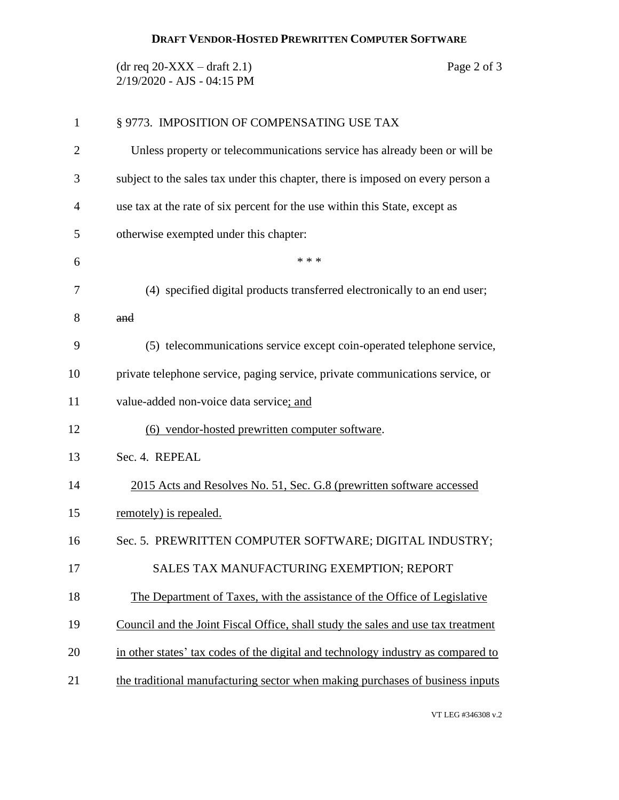## **DRAFT VENDOR-HOSTED PREWRITTEN COMPUTER SOFTWARE**

 $(\text{dr} \text{ req } 20\text{-}XXX - \text{draff } 2.1)$  Page 2 of 3 2/19/2020 - AJS - 04:15 PM

| 1  | § 9773. IMPOSITION OF COMPENSATING USE TAX                                       |
|----|----------------------------------------------------------------------------------|
| 2  | Unless property or telecommunications service has already been or will be        |
| 3  | subject to the sales tax under this chapter, there is imposed on every person a  |
| 4  | use tax at the rate of six percent for the use within this State, except as      |
| 5  | otherwise exempted under this chapter:                                           |
| 6  | * * *                                                                            |
| 7  | (4) specified digital products transferred electronically to an end user;        |
| 8  | and                                                                              |
| 9  | (5) telecommunications service except coin-operated telephone service,           |
| 10 | private telephone service, paging service, private communications service, or    |
| 11 | value-added non-voice data service; and                                          |
| 12 | (6) vendor-hosted prewritten computer software.                                  |
| 13 | Sec. 4. REPEAL                                                                   |
| 14 | 2015 Acts and Resolves No. 51, Sec. G.8 (prewritten software accessed            |
| 15 | remotely) is repealed.                                                           |
| 16 | Sec. 5. PREWRITTEN COMPUTER SOFTWARE; DIGITAL INDUSTRY;                          |
| 17 | SALES TAX MANUFACTURING EXEMPTION; REPORT                                        |
| 18 | The Department of Taxes, with the assistance of the Office of Legislative        |
| 19 | Council and the Joint Fiscal Office, shall study the sales and use tax treatment |
| 20 | in other states' tax codes of the digital and technology industry as compared to |
| 21 | the traditional manufacturing sector when making purchases of business inputs    |
|    |                                                                                  |